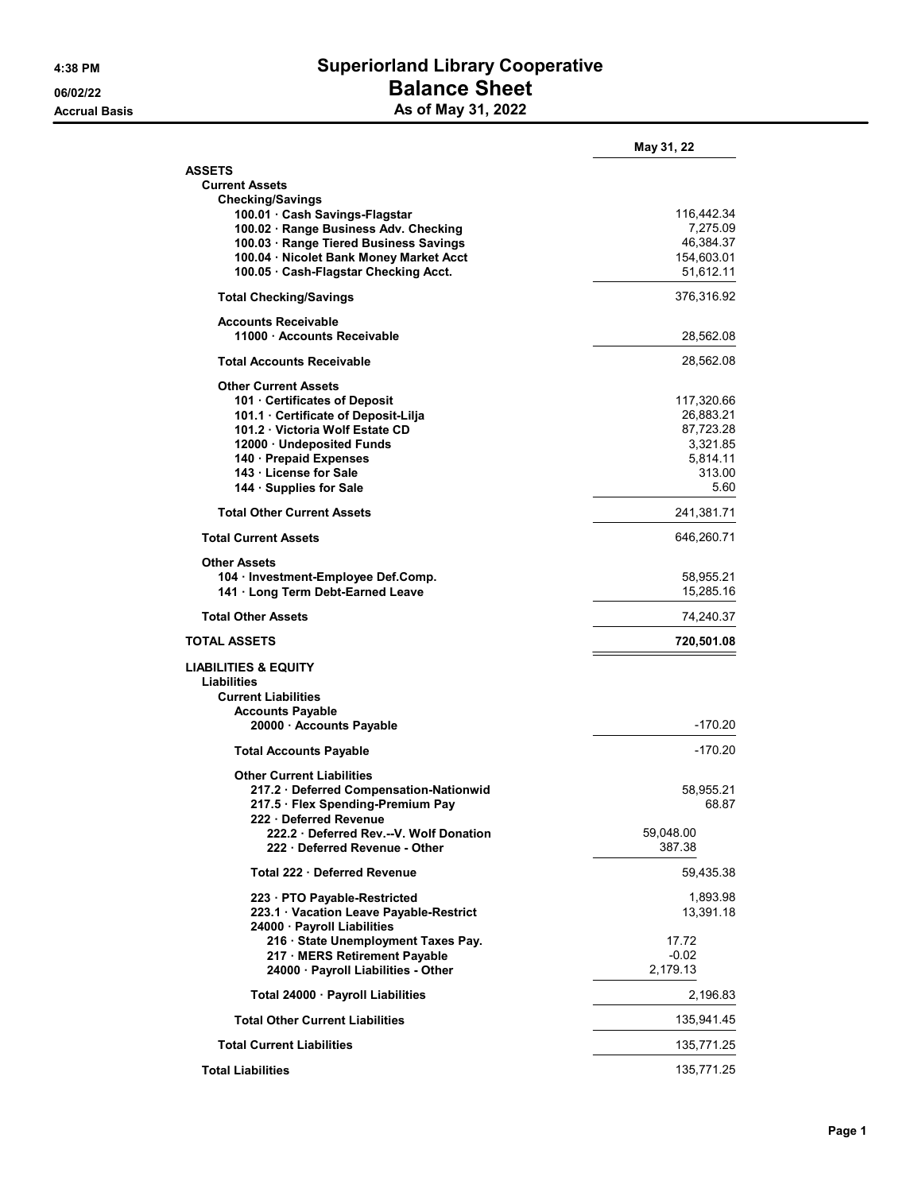## 4:38 PM Superiorland Library Cooperative 06/02/22 **Balance Sheet** Accrual Basis **Accrual Basis** As of May 31, 2022

|                                                                                 | May 31, 22            |
|---------------------------------------------------------------------------------|-----------------------|
| <b>ASSETS</b>                                                                   |                       |
| <b>Current Assets</b>                                                           |                       |
| <b>Checking/Savings</b>                                                         |                       |
| 100.01 Cash Savings-Flagstar                                                    | 116,442.34            |
| 100.02 · Range Business Adv. Checking<br>100.03 · Range Tiered Business Savings | 7,275.09<br>46,384.37 |
| 100.04 · Nicolet Bank Money Market Acct                                         | 154,603.01            |
| 100.05 Cash-Flagstar Checking Acct.                                             | 51,612.11             |
| <b>Total Checking/Savings</b>                                                   | 376,316.92            |
|                                                                                 |                       |
| <b>Accounts Receivable</b><br>11000 Accounts Receivable                         | 28,562.08             |
| <b>Total Accounts Receivable</b>                                                | 28,562.08             |
| <b>Other Current Assets</b>                                                     |                       |
| 101 Certificates of Deposit                                                     | 117,320.66            |
| 101.1 Certificate of Deposit-Lilja                                              | 26,883.21             |
| 101.2 Victoria Wolf Estate CD                                                   | 87,723.28             |
| 12000 · Undeposited Funds                                                       | 3,321.85              |
| 140 - Prepaid Expenses                                                          | 5,814.11              |
| 143 · License for Sale                                                          | 313.00                |
| 144 · Supplies for Sale                                                         | 5.60                  |
| <b>Total Other Current Assets</b>                                               | 241,381.71            |
| <b>Total Current Assets</b>                                                     | 646,260.71            |
| <b>Other Assets</b>                                                             |                       |
| 104 · Investment-Employee Def.Comp.                                             | 58,955.21             |
| 141 · Long Term Debt-Earned Leave                                               | 15,285.16             |
| <b>Total Other Assets</b>                                                       | 74,240.37             |
| TOTAL ASSETS                                                                    | 720,501.08            |
| <b>LIABILITIES &amp; EQUITY</b><br><b>Liabilities</b>                           |                       |
| <b>Current Liabilities</b>                                                      |                       |
| <b>Accounts Payable</b>                                                         |                       |
| 20000 · Accounts Payable                                                        | $-170.20$             |
| <b>Total Accounts Payable</b>                                                   | -170.20               |
| <b>Other Current Liabilities</b>                                                |                       |
| 217.2 · Deferred Compensation-Nationwid<br>217.5 · Flex Spending-Premium Pay    | 58,955.21<br>68.87    |
| 222 · Deferred Revenue                                                          |                       |
| 222.2 Deferred Rev.--V. Wolf Donation<br>222 Deferred Revenue - Other           | 59,048.00<br>387.38   |
| Total 222 · Deferred Revenue                                                    | 59,435.38             |
| 223 · PTO Payable-Restricted<br>223.1 · Vacation Leave Payable-Restrict         | 1,893.98<br>13,391.18 |
| 24000 · Payroll Liabilities                                                     |                       |
| 216 · State Unemployment Taxes Pay.                                             | 17.72                 |
| 217 · MERS Retirement Payable                                                   | $-0.02$               |
| 24000 · Payroll Liabilities - Other                                             | 2,179.13              |
| Total 24000 · Payroll Liabilities                                               | 2,196.83              |
| <b>Total Other Current Liabilities</b>                                          | 135,941.45            |
| <b>Total Current Liabilities</b>                                                | 135,771.25            |
| <b>Total Liabilities</b>                                                        | 135,771.25            |